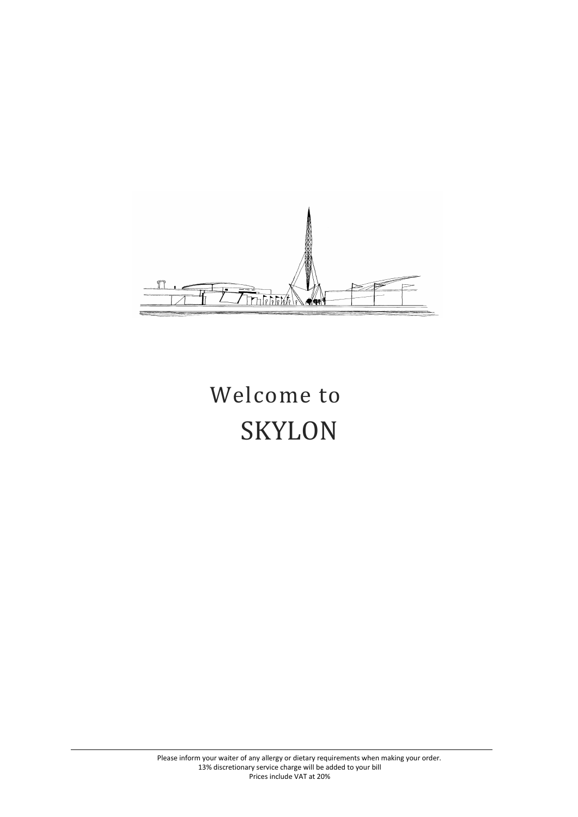

# Welcome to SKYLON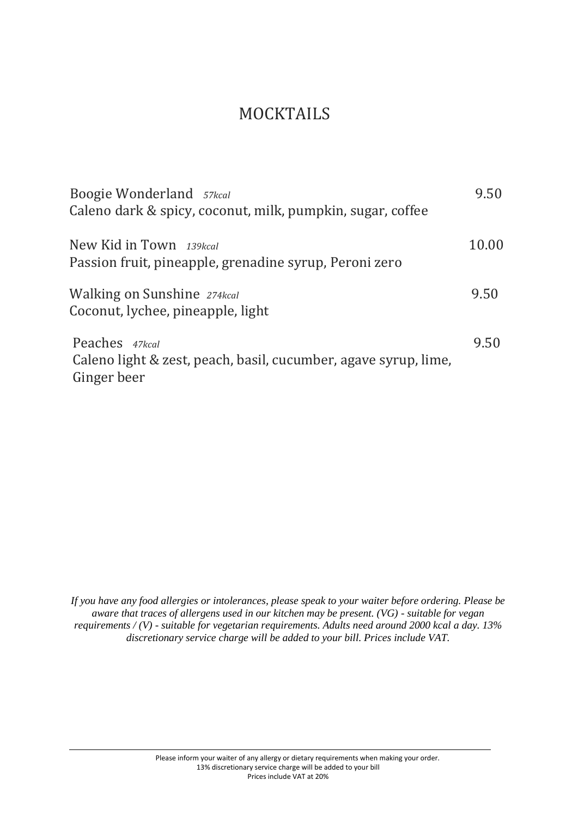#### MOCKTAILS

| Boogie Wonderland 57kcal<br>Caleno dark & spicy, coconut, milk, pumpkin, sugar, coffee           | 9.50  |
|--------------------------------------------------------------------------------------------------|-------|
| New Kid in Town 139kcal<br>Passion fruit, pineapple, grenadine syrup, Peroni zero                | 10.00 |
| <b>Walking on Sunshine</b> 274kcal<br>Coconut, lychee, pineapple, light                          | 9.50  |
| Peaches 47kcal<br>Caleno light & zest, peach, basil, cucumber, agave syrup, lime,<br>Ginger beer | 9.50  |

*If you have any food allergies or intolerances, please speak to your waiter before ordering. Please be aware that traces of allergens used in our kitchen may be present. (VG) - suitable for vegan requirements / (V) - suitable for vegetarian requirements. Adults need around 2000 kcal a day. 13% discretionary service charge will be added to your bill. Prices include VAT.*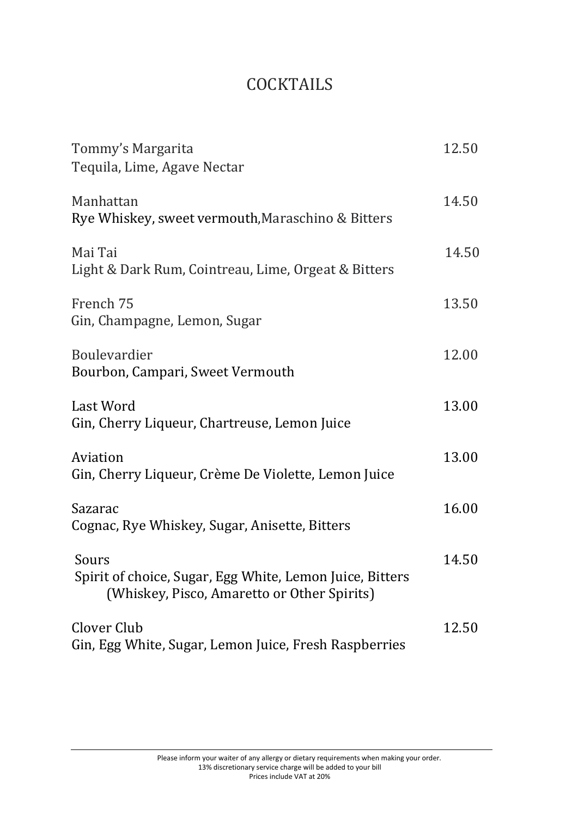### **COCKTAILS**

| Tommy's Margarita<br>Tequila, Lime, Agave Nectar                                                                 | 12.50 |
|------------------------------------------------------------------------------------------------------------------|-------|
| Manhattan<br>Rye Whiskey, sweet vermouth, Maraschino & Bitters                                                   | 14.50 |
| Mai Tai<br>Light & Dark Rum, Cointreau, Lime, Orgeat & Bitters                                                   | 14.50 |
| French 75<br>Gin, Champagne, Lemon, Sugar                                                                        | 13.50 |
| <b>Boulevardier</b><br>Bourbon, Campari, Sweet Vermouth                                                          | 12.00 |
| Last Word<br>Gin, Cherry Liqueur, Chartreuse, Lemon Juice                                                        | 13.00 |
| Aviation<br>Gin, Cherry Liqueur, Crème De Violette, Lemon Juice                                                  | 13.00 |
| Sazarac<br>Cognac, Rye Whiskey, Sugar, Anisette, Bitters                                                         | 16.00 |
| Sours<br>Spirit of choice, Sugar, Egg White, Lemon Juice, Bitters<br>(Whiskey, Pisco, Amaretto or Other Spirits) | 14.50 |
| Clover Club<br>Gin, Egg White, Sugar, Lemon Juice, Fresh Raspberries                                             | 12.50 |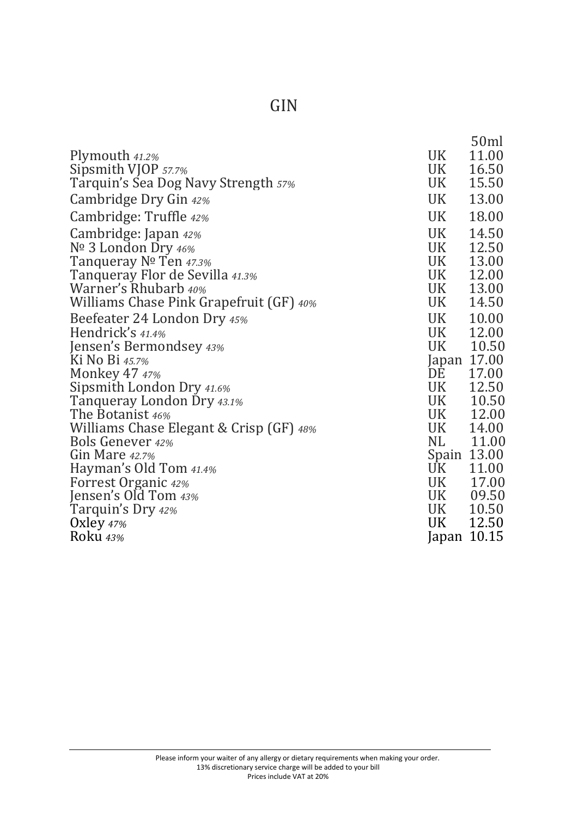|                                         |             | 50ml  |
|-----------------------------------------|-------------|-------|
| Plymouth 41.2%                          | UK          | 11.00 |
| Sipsmith VJOP 57.7%                     | UK          | 16.50 |
| Tarquin's Sea Dog Navy Strength 57%     | UK          | 15.50 |
| Cambridge Dry Gin 42%                   | UK          | 13.00 |
| Cambridge: Truffle 42%                  | UK          | 18.00 |
| Cambridge: Japan 42%                    | <b>UK</b>   | 14.50 |
| Nº 3 London Dry 46%                     | UK          | 12.50 |
| Tanqueray Nº Ten 47.3%                  | UK          | 13.00 |
| Tanqueray Flor de Sevilla 41.3%         | UK          | 12.00 |
| Warner's Rhubarb 40%                    | UK          | 13.00 |
| Williams Chase Pink Grapefruit (GF) 40% | UK          | 14.50 |
| Beefeater 24 London Dry 45%             | UK          | 10.00 |
| Hendrick's 41.4%                        | UK          | 12.00 |
| Jensen's Bermondsey 43%                 | UK          | 10.50 |
| Ki No Bi 45.7%                          | Japan 17.00 |       |
| <b>Monkey 47 47%</b>                    | DE          | 17.00 |
| Sipsmith London Dry 41.6%               | UK          | 12.50 |
| Tanqueray London Dry 43.1%              | UK L        | 10.50 |
| The Botanist 46%                        | <b>UK</b>   | 12.00 |
| Williams Chase Elegant & Crisp (GF) 48% | UK          | 14.00 |
| <b>Bols Genever 42%</b>                 | NL          | 11.00 |
| Gin Mare 42.7%                          | Spain 13.00 |       |
| Hayman's Old Tom 41.4%                  | UK          | 11.00 |
| <b>Forrest Organic 42%</b>              | UK          | 17.00 |
| Jensen's Old Tom 43%                    | UK 09.50    |       |
| Tarquin's Dry 42%                       | UK          | 10.50 |
| Oxley $47%$                             | UK          | 12.50 |
| Roku 43%                                | Japan 10.15 |       |

### GIN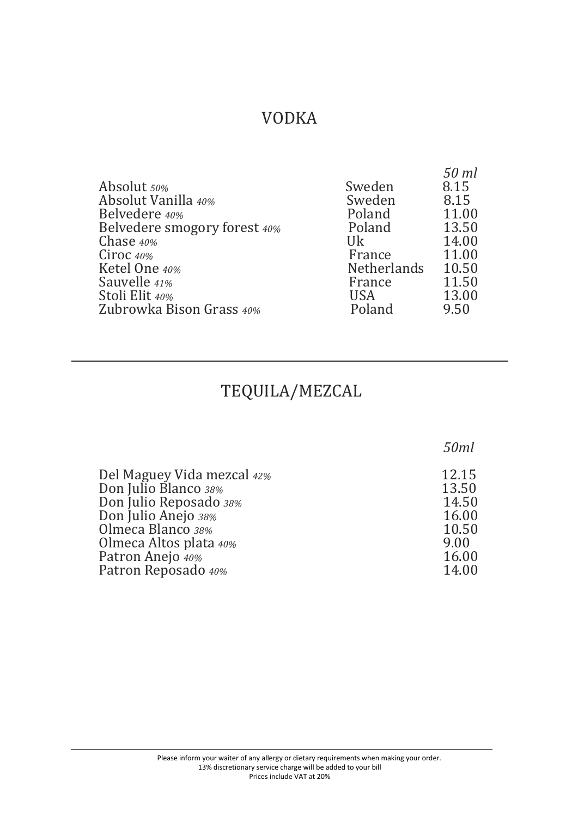### VODKA

| Absolut 50%<br>Absolut Vanilla 40%<br>Belvedere 40%<br>Belvedere smogory forest 40%<br>Chase 40%<br>Ciroc $40\%$<br>Ketel One 40%<br>Sauvelle 41%<br>Stoli Elit 40% | Sweden<br>Sweden<br>Poland<br>Poland<br>Uk<br>France<br><b>Netherlands</b><br>France<br><b>USA</b> | 50 ml<br>8.15<br>8.15<br>11.00<br>13.50<br>14.00<br>11.00<br>10.50<br>11.50<br>13.00 |
|---------------------------------------------------------------------------------------------------------------------------------------------------------------------|----------------------------------------------------------------------------------------------------|--------------------------------------------------------------------------------------|
| Zubrowka Bison Grass 40%                                                                                                                                            | Poland                                                                                             | 9.50                                                                                 |

# TEQUILA/MEZCAL

 $\overline{a}$ 

|                            | 50ml  |
|----------------------------|-------|
| Del Maguey Vida mezcal 42% | 12.15 |
| Don Julio Blanco 38%       | 13.50 |
| Don Julio Reposado 38%     | 14.50 |
| Don Julio Anejo 38%        | 16.00 |
| Olmeca Blanco 38%          | 10.50 |
| Olmeca Altos plata 40%     | 9.00  |
| Patron Anejo 40%           | 16.00 |
| Patron Reposado 40%        | 14.00 |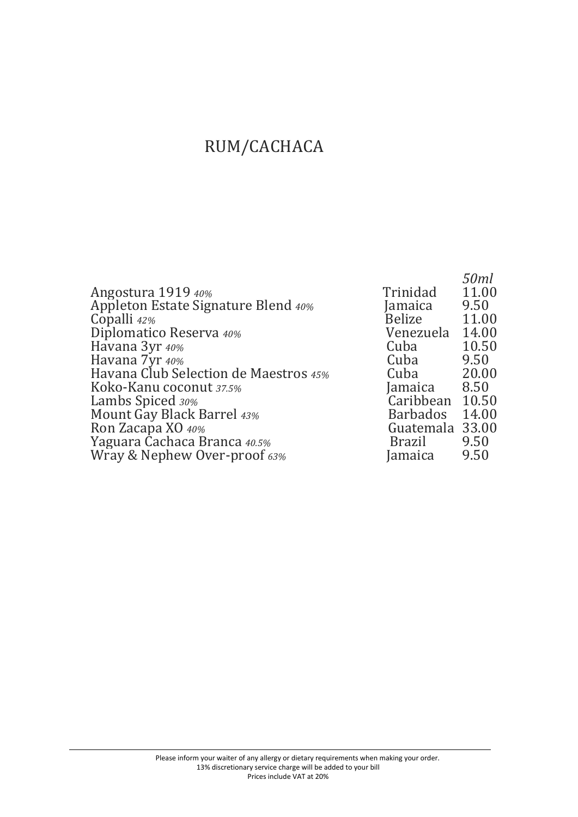# RUM/CACHACA

|                                       |                 | 50ml<br>11.00 |
|---------------------------------------|-----------------|---------------|
| Angostura 1919 40%                    | Trinidad        |               |
| Appleton Estate Signature Blend 40%   | Jamaica         | 9.50          |
| Copalli 42%                           | <b>Belize</b>   | 11.00         |
| Diplomatico Reserva 40%               | Venezuela       | 14.00         |
| Havana 3yr 40%                        | Cuba            | 10.50         |
| Havana 7yr 40%                        | Cuba            | 9.50          |
| Havana Club Selection de Maestros 45% | Cuba            | 20.00         |
| Koko-Kanu coconut 37.5%               | Jamaica         | 8.50          |
| Lambs Spiced 30%                      | Caribbean       | 10.50         |
| Mount Gay Black Barrel 43%            | <b>Barbados</b> | 14.00         |
| Ron Zacapa XO 40%                     | Guatemala 33.00 |               |
| Yaguara Cachaca Branca 40.5%          | Brazil          | 9.50          |
| Wray & Nephew Over-proof 63%          | Jamaica         | 9.50          |
|                                       |                 |               |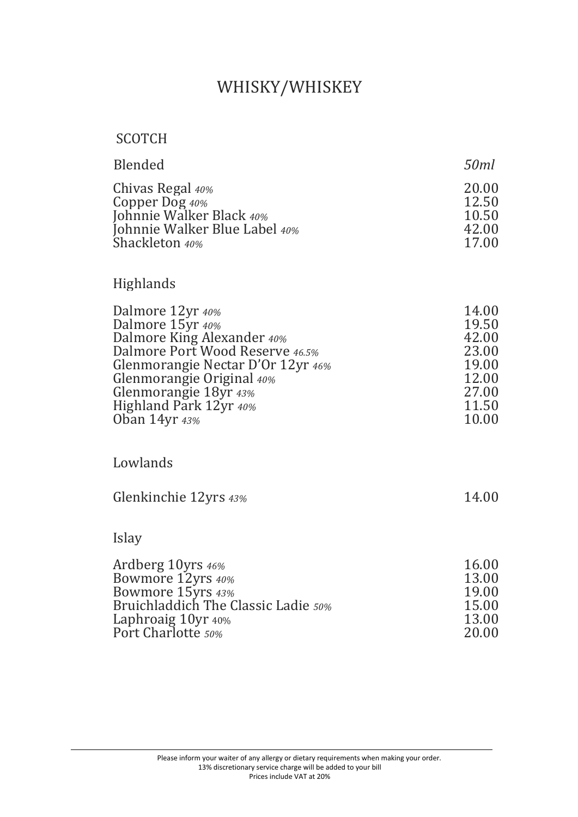# WHISKY/WHISKEY

#### SCOTCH

| Blended                       | 50ml  |
|-------------------------------|-------|
| Chivas Regal 40%              | 20.00 |
| Copper Dog $40\%$             | 12.50 |
| Johnnie Walker Black 40%      | 10.50 |
| Johnnie Walker Blue Label 40% | 42.00 |
| Shackleton 40%                | 17.00 |

#### Highlands

| 14.00 |
|-------|
| 19.50 |
| 42.00 |
| 23.00 |
| 19.00 |
| 12.00 |
| 27.00 |
| 11.50 |
| 10.00 |
|       |

#### Lowlands

| Glenkinchie 12yrs 43% | 14.00 |
|-----------------------|-------|
|-----------------------|-------|

#### Islay

| Ardberg 10yrs 46%                   | 16.00 |
|-------------------------------------|-------|
| Bowmore 12yrs 40%                   | 13.00 |
| Bowmore 15yrs 43%                   | 19.00 |
| Bruichladdich The Classic Ladie 50% | 15.00 |
| Laphroaig $10yr_{40\%}$             | 13.00 |
| Port Charlotte 50%                  | 20.00 |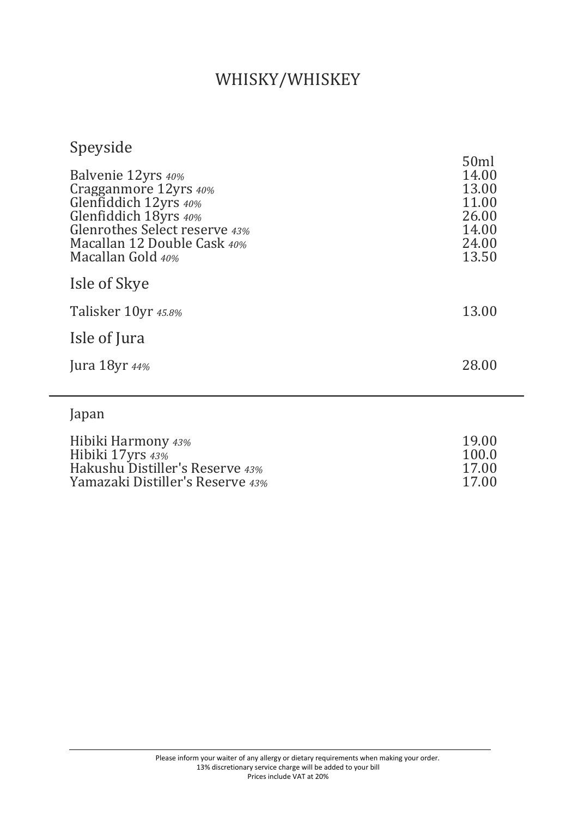#### WHISKY/WHISKEY

### Speyside

| Balvenie 12yrs 40%<br>Cragganmore 12yrs 40%<br>Glenfiddich 12yrs 40%<br>Glenfiddich 18yrs 40%<br>Glenrothes Select reserve 43%<br>Macallan 12 Double Cask 40%<br>Macallan Gold 40% | 50ml<br>14.00<br>13.00<br>11.00<br>26.00<br>14.00<br>24.00<br>13.50 |
|------------------------------------------------------------------------------------------------------------------------------------------------------------------------------------|---------------------------------------------------------------------|
| Isle of Skye                                                                                                                                                                       |                                                                     |
| Talisker 10yr 45.8%                                                                                                                                                                | 13.00                                                               |
| Isle of Jura                                                                                                                                                                       |                                                                     |
| Jura 18yr $44\%$                                                                                                                                                                   | 28.00                                                               |
| Japan                                                                                                                                                                              |                                                                     |
| Hibiki Harmony 43%<br>Hibiki 17yrs 43%                                                                                                                                             | 19.00<br>100.0                                                      |

Hakushu Distiller's Reserve *43%* 17.00 Yamazaki Distiller's Reserve *43%* 17.00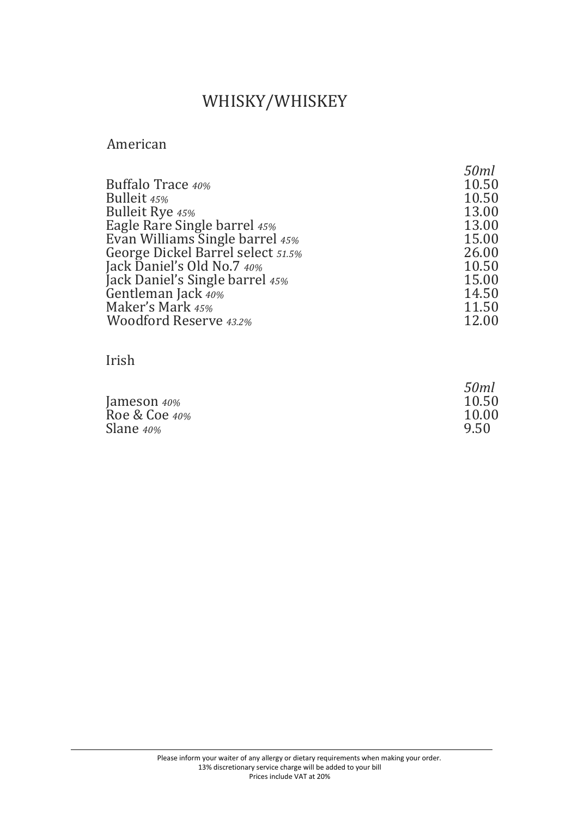# WHISKY/WHISKEY

#### American

|                                   | 50ml  |
|-----------------------------------|-------|
| <b>Buffalo Trace 40%</b>          | 10.50 |
| Bulleit 45%                       | 10.50 |
| <b>Bulleit Rye 45%</b>            | 13.00 |
| Eagle Rare Single barrel 45%      | 13.00 |
| Evan Williams Single barrel 45%   | 15.00 |
| George Dickel Barrel select 51.5% | 26.00 |
| Jack Daniel's Old No.7 40%        | 10.50 |
| Jack Daniel's Single barrel 45%   | 15.00 |
| Gentleman Jack 40%                | 14.50 |
| Maker's Mark 45%                  | 11.50 |
| <b>Woodford Reserve 43.2%</b>     |       |

Irish

|               | 50ml  |
|---------------|-------|
| Jameson 40%   | 10.50 |
| Roe & Coe 40% | 10.00 |
| Slane 40%     | 9.50  |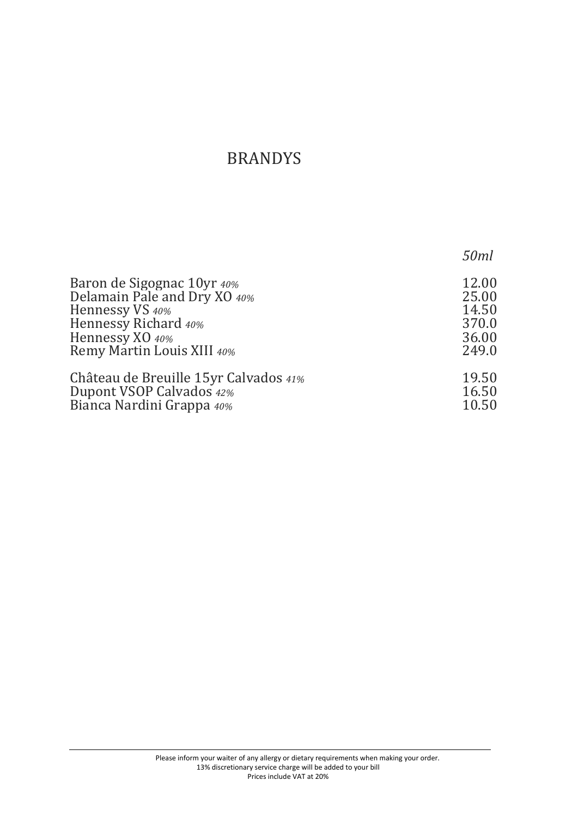### BRANDYS

|                                        | 50ml  |
|----------------------------------------|-------|
| Baron de Sigognac 10yr 40%             | 12.00 |
| Delamain Pale and Dry XO 40%           | 25.00 |
| Hennessy VS 40%                        | 14.50 |
| Hennessy Richard 40%                   | 370.0 |
| Hennessy XO 40%                        | 36.00 |
| Remy Martin Louis XIII 40%             | 249.0 |
| Château de Breuille 15 yr Calvados 41% | 19.50 |
| Dupont VSOP Calvados 42%               | 16.50 |
| Bianca Nardini Grappa 40%              | 10.50 |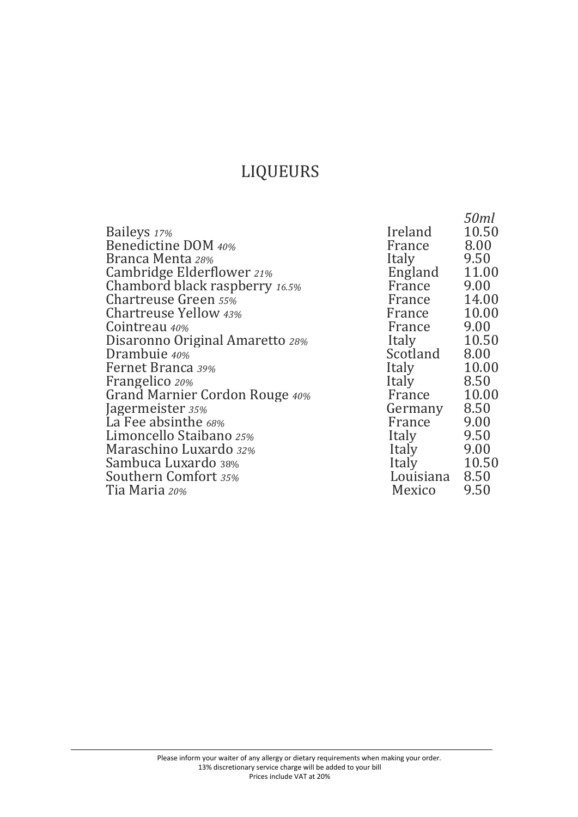# LIQUEURS

|                                 |           | 50ml  |
|---------------------------------|-----------|-------|
| Baileys 17%                     | Ireland   | 10.50 |
| Benedictine DOM 40%             | France    | 8.00  |
| Branca Menta 28%                | Italy     | 9.50  |
| Cambridge Elderflower 21%       | England   | 11.00 |
| Chambord black raspberry 16.5%  | France    | 9.00  |
| <b>Chartreuse Green 55%</b>     | France    | 14.00 |
| Chartreuse Yellow 43%           | France    | 10.00 |
| Cointreau 40%                   | France    | 9.00  |
| Disaronno Original Amaretto 28% | Italy     | 10.50 |
| Drambuie 40%                    | Scotland  | 8.00  |
| Fernet Branca 39%               | Italy     | 10.00 |
| Frangelico 20%                  | Italy     | 8.50  |
| Grand Marnier Cordon Rouge 40%  | France    | 10.00 |
| Jagermeister 35%                | Germany   | 8.50  |
| La Fee absinthe 68%             | France    | 9.00  |
| Limoncello Staibano 25%         | Italy     | 9.50  |
| Maraschino Luxardo 32%          | Italy     | 9.00  |
| Sambuca Luxardo 38%             | Italy     | 10.50 |
| Southern Comfort 35%            | Louisiana | 8.50  |
| Tia Maria 20%                   | Mexico    | 9.50  |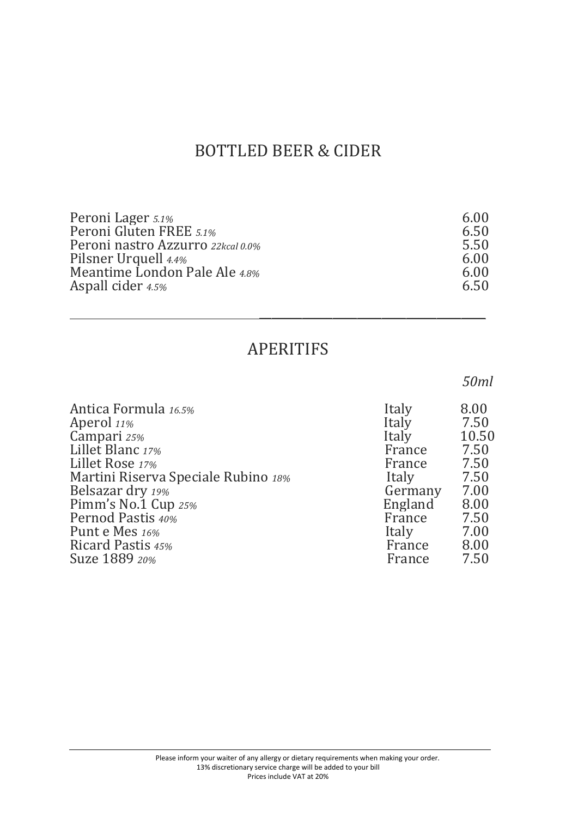### BOTTLED BEER & CIDER

| 6.00 |
|------|
| 6.50 |
| 5.50 |
| 6.00 |
| 6.00 |
| 6.50 |
|      |

#### APERITIFS

\_\_\_\_\_\_\_\_\_\_\_\_\_\_\_\_\_\_\_\_\_\_\_\_\_\_\_\_\_\_\_\_\_\_\_\_\_

#### *50ml*

| Antica Formula 16.5%                | Italy   | 8.00  |
|-------------------------------------|---------|-------|
| Aperol 11%                          | Italy   | 7.50  |
| Campari 25%                         | Italy   | 10.50 |
| Lillet Blanc 17%                    | France  | 7.50  |
| Lillet Rose 17%                     | France  | 7.50  |
| Martini Riserva Speciale Rubino 18% | Italy   | 7.50  |
| Belsazar dry 19%                    | Germany | 7.00  |
| Pimm's No.1 Cup 25%                 | England | 8.00  |
| Pernod Pastis 40%                   | France  | 7.50  |
| Punt e Mes 16%                      | Italy   | 7.00  |
| Ricard Pastis 45%                   | France  | 8.00  |
| Suze 1889 20%                       | France  | 7.50  |
|                                     |         |       |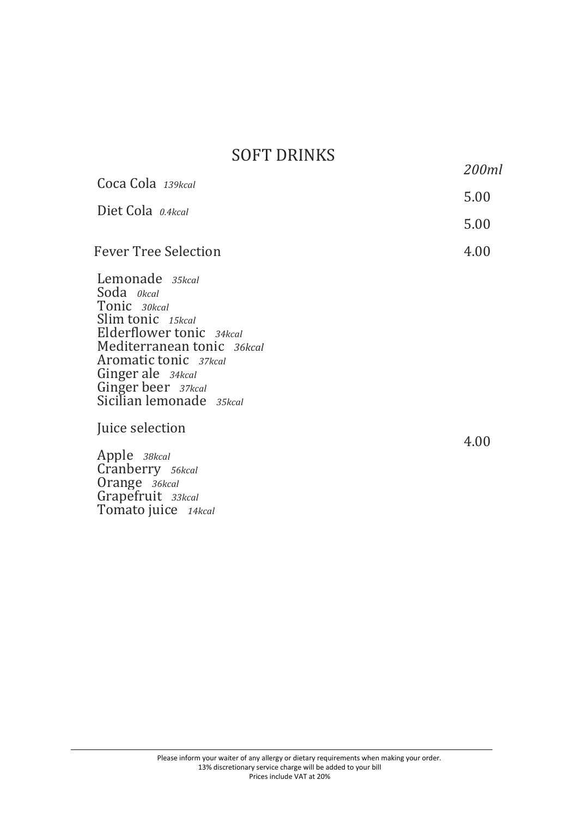#### SOFT DRINKS

 *200ml*

| Coca Cola 139kcal                                                                                                                                                                                                                   |      |
|-------------------------------------------------------------------------------------------------------------------------------------------------------------------------------------------------------------------------------------|------|
|                                                                                                                                                                                                                                     | 5.00 |
| Diet Cola 0.4kcal                                                                                                                                                                                                                   |      |
|                                                                                                                                                                                                                                     | 5.00 |
| <b>Fever Tree Selection</b>                                                                                                                                                                                                         | 4.00 |
| Lemonade 35kcal<br>Soda <i>okcal</i><br>Tonic 30kcal<br>Slim tonic 15kcal<br>Elderflower tonic 34kcal<br>Mediterranean tonic 36kcal<br>Aromatic tonic 37kcal<br>Ginger ale 34kcal<br>Ginger beer 37kcal<br>Sicilian lemonade 35kcal |      |
| Juice selection                                                                                                                                                                                                                     | 4.00 |
| Apple 38kcal                                                                                                                                                                                                                        |      |
| Cranberry 56kcal<br>Orange 36kcal                                                                                                                                                                                                   |      |
| Grapefruit 33kcal                                                                                                                                                                                                                   |      |

Tomato juice *14kcal*